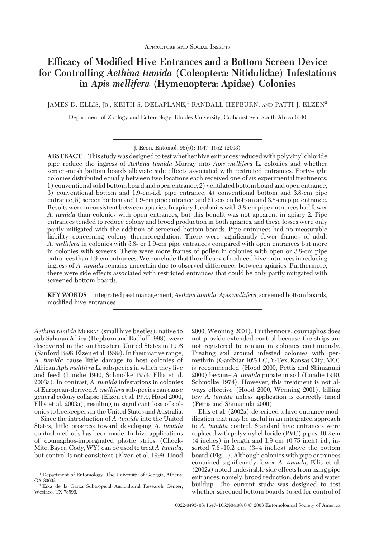# **Efficacy of Modified Hive Entrances and a Bottom Screen Device for Controlling** *Aethina tumida* **(Coleoptera: Nitidulidae) Infestations in** *Apis mellifera* **(Hymenoptera: Apidae) Colonies**

JAMES D. ELLIS, JR., KEITH S. DELAPLANE,<sup>1</sup> RANDALL HEPBURN, AND PATTI J. ELZEN<sup>2</sup>

Department of Zoology and Entomology, Rhodes University, Grahamstown, South Africa 6140

**ABSTRACT** This study was designed to test whether hive entrances reduced with polyvinyl chloride pipe reduce the ingress of *Aethina tumida* Murray into *Apis mellifera* L. colonies and whether screen-mesh bottom boards alleviate side effects associated with restricted entrances. Forty-eight colonies distributed equally between two locations each received one of six experimental treatments: 1) conventional solid bottom board and open entrance, 2) ventilated bottom board and open entrance, 3) conventional bottom and 1.9-cm-i.d. pipe entrance, 4) conventional bottom and 3.8-cm pipe entrance, 5) screen bottom and 1.9-cm pipe entrance, and 6) screen bottom and 3.8-cm pipe entrance. Results were inconsistent between apiaries. In apiary 1, colonies with 3.8-cm pipe entrances had fewer *A. tumida* than colonies with open entrances, but this benefit was not apparent in apiary 2. Pipe entrances tended to reduce colony and brood production in both apiaries, and these losses were only partly mitigated with the addition of screened bottom boards. Pipe entrances had no measurable liability concerning colony thermoregulation. There were significantly fewer frames of adult *A. mellifera* in colonies with 3.8- or 1.9-cm pipe entrances compared with open entrances but more in colonies with screens. There were more frames of pollen in colonies with open or 3.8-cm pipe entrances than 1.9-cm entrances. We conclude that the efficacy of reduced hive entrances in reducing ingress of *A. tumida* remains uncertain due to observed differences between apiaries. Furthermore, there were side effects associated with restricted entrances that could be only partly mitigated with screened bottom boards.

**KEYWORDS** integrated pest management,*Aethina tumida*, *Apis mellifera*, screened bottom boards, modified hive entrances

*Aethina tumida* MURRAY (small hive beetles), native to sub-Saharan Africa (Hepburn and Radloff 1998), were discovered in the southeastern United States in 1998 (Sanford 1998, Elzen et al. 1999). In their native range, *A. tumida* cause little damage to host colonies of African *Apis mellifera* L. subspecies in which they live and feed (Lundie 1940, Schmolke 1974, Ellis et al. 2003a). In contrast, *A. tumida* infestations in colonies of European-derived*A. mellifera* subspecies can cause general colony collapse (Elzen et al. 1999, Hood 2000, Ellis et al. 2003a), resulting in significant loss of colonies to beekeepers in the United States and Australia.

Since the introduction of *A. tumida* into the United States, little progress toward developing *A. tumida* control methods has been made. In-hive applications of coumaphos-impregnated plastic strips (Check-Mite, Bayer, Cody,WY) can be used to treat*A. tumida,* but control is not consistent (Elzen et al. 1999, Hood

2000, Wenning 2001). Furthermore, coumaphos does not provide extended control because the strips are not registered to remain in colonies continuously. Treating soil around infested colonies with permethrin (GardStar 40% EC, Y-Tex, Kansas City, MO) is recommended (Hood 2000, Pettis and Shimanuki 2000) because *A. tumida* pupate in soil (Lundie 1940, Schmolke 1974). However, this treatment is not always effective (Hood 2000, Wenning 2001), killing few *A. tumida* unless application is correctly timed (Pettis and Shimanuki 2000).

Ellis et al. (2002a) described a hive entrance modification that may be useful in an integrated approach to *A. tumida* control. Standard hive entrances were replaced with polyvinyl chloride (PVC) pipes, 10.2 cm (4 inches) in length and 1.9 cm (0.75 inch) i.d., inserted  $7.6 - 10.2$  cm  $(3 - 4$  inches) above the bottom board (Fig. 1). Although colonies with pipe entrances contained significantly fewer *A. tumida*, Ellis et al. (2002a) noted undesirable side effects from using pipe entrances, namely, brood reduction, debris, and water buildup. The current study was designed to test whether screened bottom boards (used for control of

J. Econ. Entomol. 96(6): 1647-1652 (2003)

<sup>&</sup>lt;sup>1</sup> Department of Entomology, The University of Georgia, Athens, GA 30602.

<sup>2</sup> Kika de la Garza Subtropical Agricultural Research Center, Weslaco, TX 78596.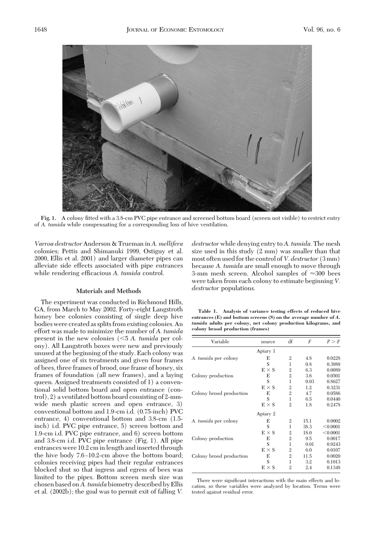

**Fig. 1.** A colony fitted with a 3.8-cm PVC pipe entrance and screened bottom board (screen not visible) to restrict entry of *A. tumida* while compensating for a corresponding loss of hive ventilation.

*Varroa destructor* Anderson & Trueman in *A. mellifera* colonies; Pettis and Shimanuki 1999, Ostiguy et al. 2000, Ellis et al. 2001) and larger diameter pipes can alleviate side effects associated with pipe entrances while rendering efficacious A. tumida control.

## **Materials and Methods**

The experiment was conducted in Richmond Hills, GA, from March to May 2002. Forty-eight Langstroth honey bee colonies consisting of single deep hive bodies were created as splits from existing colonies. An effort was made to minimize the number of *A. tumida* present in the new colonies (5 *A. tumida* per colony). All Langstroth boxes were new and previously unused at the beginning of the study. Each colony was assigned one of six treatments and given four frames of bees, three frames of brood, one frame of honey, six frames of foundation (all new frames), and a laying queen. Assigned treatments consisted of 1) a conventional solid bottom board and open entrance (control), 2) a ventilated bottom board consisting of 2-mmwide mesh plastic screen and open entrance, 3) conventional bottom and 1.9-cm i.d. (0.75-inch) PVC entrance, 4) conventional bottom and 3.8-cm (1.5 inch) i.d. PVC pipe entrance, 5) screen bottom and 1.9-cm i.d. PVC pipe entrance, and 6) screen bottom and 3.8-cm i.d. PVC pipe entrance (Fig. 1). All pipe entrances were 10.2 cm in length and inserted through the hive body 7.6–10.2-cm above the bottom board; colonies receiving pipes had their regular entrances blocked shut so that ingress and egress of bees was limited to the pipes. Bottom screen mesh size was chosen based on*A. tumida* biometry described by Ellis et al. (2002b); the goal was to permit exit of falling *V.*

*destructor* while denying entry to *A. tumida.* The mesh size used in this study (2 mm) was smaller than that most often used for the control of *V. destructor* (3 mm) because *A. tumida* are small enough to move through 3-mm mesh screen. Alcohol samples of  $\approx$ 300 bees were taken from each colony to estimate beginning *V. destructor* populations.

**Table 1. Analysis of variance testing effects of reduced hive entrances (E) and bottom screens (S) on the average number of** *A. tumida* **adults per colony, net colony production kilograms, and colony brood production (frames)**

| Variable                | source       | df             | F    | P > F    |
|-------------------------|--------------|----------------|------|----------|
|                         | Apiary 1     |                |      |          |
| A. tumida per colony    | E            | $\overline{2}$ | 4.8  | 0.0228   |
|                         | S            | 1              | 0.8  | 0.3989   |
|                         | $E \times S$ | $\mathbf{2}$   | 6.3  | 0.0089   |
| Colony production       | E            | $\overline{2}$ | 3.6  | 0.0501   |
|                         | S            | 1              | 0.03 | 0.8627   |
|                         | $E \times S$ | $\mathfrak{2}$ | 1.2  | 0.3231   |
| Colony brood production | E            | $\overline{2}$ | 4.7  | 0.0586   |
|                         | S            | 1              | 6.5  | 0.0440   |
|                         | $E \times S$ | $\mathfrak{2}$ | 1.8  | 0.2478   |
|                         | Apiary 2     |                |      |          |
| A. tumida per colony    | E            | $\overline{2}$ | 15.1 | 0.0002   |
|                         | S            | 1              | 38.3 | < 0.0001 |
|                         | $E \times S$ | $\mathfrak{2}$ | 18.0 | < 0.0001 |
| Colony production       | E            | $\overline{2}$ | 9.5  | 0.0017   |
|                         | S            | 1              | 0.01 | 0.9243   |
|                         | $E \times S$ | $\overline{2}$ | 6.0  | 0.0107   |
| Colony brood production | E            | $\overline{2}$ | 11.5 | 0.0020   |
|                         | S            | 1              | 3.2  | 0.1013   |
|                         | $E \times S$ | $\mathfrak{2}$ | 2.4  | 0.1348   |

There were significant interactions with the main effects and location, so these variables were analyzed by location. Terms were tested against residual error.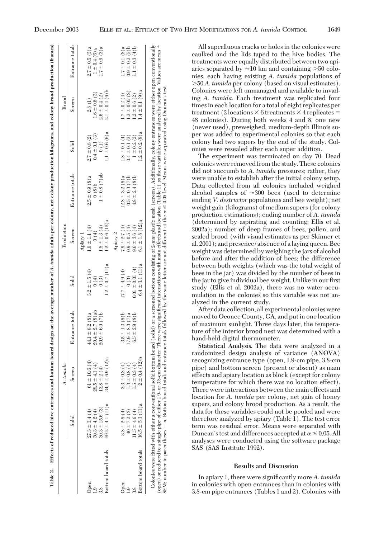|                     |                      | A. tumida                      |                       |                              | Production                             |                     |                    | Brood              |                    |
|---------------------|----------------------|--------------------------------|-----------------------|------------------------------|----------------------------------------|---------------------|--------------------|--------------------|--------------------|
|                     | Solid                | Screen                         | Entrance totals       | Solic                        | Screen                                 | Entrance totals     | Solid              | Screen             | Entrance totals    |
|                     |                      |                                |                       |                              | Apiary 1                               |                     |                    |                    |                    |
| Open                | $27.3 \pm 3.4(4)$    | $61 \pm 10.6(4)$               | $44.1 \pm 8.2$ (8)a   | $3.2 \pm 1.5(4)$             | $1.9 \pm 1.1 (4)$                      | $2.5 \pm 0.9$ (8)a  | $2.7 \pm 0.8$ (2)  | 2.8(1)             | $2.7 \pm 0.5$ (3)a |
| $\ddot{5}$          | $30.3 \pm 4.2(4)$    | (4)<br>$28.5 \pm 4.1$          | $29.4 \pm 2.7 (8)$ ab | (4)                          | $\begin{pmatrix} 1 \\ 0 \end{pmatrix}$ | $0(8)$ <sub>b</sub> | $0.4 \pm 0.1$ (3)  | $1.6 \pm 0.6$ (3)  | $1 \pm 0.4(6) a$   |
| 3.8                 | $30.3 \pm 15.6$ (3)  | $13.8 \pm 2$                   | $20.9 \pm 6.9$ (7)b   | $\left( \frac{3}{2} \right)$ | $1.8 \pm 1.3(4)$                       | $1 \pm 0.8$ (7) ab  | (1)                | $2.6 \pm 0.4 (2)$  | $1.7 \pm 0.9$ (3)a |
| Bottom board totals | $29.2 \pm 4.1$ (11)a | (12)a<br>$34.4 \pm 6.9$        |                       | $1.2 \pm 0.7$ (11)a          | $1.2 \pm 0.6$ (12)a                    |                     | $1.1 \pm 0.6$ (6)a | $2.1 \pm 0.4$ (6)b |                    |
|                     |                      |                                |                       |                              | Apiary 2                               |                     |                    |                    |                    |
| Open                | $3.8 \pm 2.8(4)$     | $\widehat{f}$<br>$3.3 \pm 0.8$ | $3.5 \pm 1.3$ (8)b    | $17.7 \pm 4.9(4)$            | $7.9 \pm 2.7(4)$                       | $12.8 \pm 3.2$ (8)a | $1.8 \pm 0.1(4)$   | $1.7 \pm 0.2$ (4)  | $1.7 \pm 0.1$ (8)a |
| $\overline{a}$      | $40 \pm 7.2$ (3)     | $\widehat{f}$<br>$1.3 \pm 0.8$ | $17.9 \pm 8.3$ (7)a   | 0(3)                         | $0.9 \pm 0.5(4)$                       | $0.5 \pm 0.3$ (7)b  | $0.4 \pm 0.1(2)$   | $1.2 \pm 0.05$ (3) | $0.9 \pm 0.2$ (5)b |
| 3.8                 | $1.5 \pm 4.6(4)$     | $1.5 \pm 0.3$                  | $6.5 \pm 2.9$ (8)b    | $0.01 \pm 0.01(4)$           | $9.6 \pm 3.6(4)$                       | $4.8 \pm 2.4$ (8)b  | $1 \pm 0.2$ (2)    | $1.2 \pm 0.6$ (2)  | $1.1 \pm 0.3$ (4)b |
| Bottom board totals | $16.5 \pm 5.3$ (11)a | $(12)$ b<br>$2 \pm 0.4$        |                       | $6.4 \pm 3.1$ (11)a          | $6.1 \pm 1.8$ (12)a                    |                     | $1.2 \pm 0.2$ (8)a | $1.4 \pm 0.1$ (9)a |                    |

All superfluous cracks or holes in the colonies were caulked and the lids taped to the hive bodies. The treatments were equally distributed between two apiaries separated by  $\approx$ 10 km and containing >50 colonies, each having existing *A. tumida* populations of 50 *A. tumida* per colony (based on visual estimates). Colonies were left unmanaged and available to invading *A. tumida.* Each treatment was replicated four times in each location for a total of eight replicates per treatment (2 locations  $\times$  6 treatments  $\times$  4 replicates = 48 colonies). During both weeks 4 and 8, one new (never used), preweighed, medium-depth Illinois super was added to experimental colonies so that each colony had two supers by the end of the study. Colonies were resealed after each super addition.

The experiment was terminated on day 70. Dead colonies were removed from the study. These colonies did not succumb to *A. tumida* pressures; rather, they were unable to establish after the initial colony setup. Data collected from all colonies included weighed alcohol samples of  $\approx$ 300 bees (used to determine ending *V. destructor* populations and bee weight); net weight gain (kilograms) of medium supers (for colony production estimations); ending number of *A. tumida* (determined by aspirating and counting; Ellis et al. 2002a); number of deep frames of bees, pollen, and sealed brood (with visual estimates as per Skinner et al. 2001); and presence/absence of a laying queen. Bee weight was determined by weighing the jars of alcohol before and after the addition of bees; the difference between both weights (which was the total weight of bees in the jar) was divided by the number of bees in the jar to give individual bee weight. Unlike in our first study (Ellis et al. 2002a), there was no water accumulation in the colonies so this variable was not analyzed in the current study.

After data collection, all experimental colonies were moved to Oconee County, GA, and put in one location of maximum sunlight. Three days later, the temperature of the interior brood nest was determined with a hand-held digital thermometer.

**Statistical Analysis.** The data were analyzed in a randomized design analysis of variance (ANOVA) recognizing entrance type (open, 1.9-cm pipe, 3.8-cm pipe) and bottom screen (present or absent) as main effects and apiary location as block (except for colony temperature for which there was no location effect). There were interactions between the main effects and location for *A. tumida* per colony, net gain of honey supers, and colony brood production. As a result, the data for these variables could not be pooled and were therefore analyzed by apiary (Table 1). The test error term was residual error. Means were separated with Duncan's test and differences accepted at  $\alpha$   $\leq$  0.05. All analyses were conducted using the software package SAS (SAS Institute 1992).

### **Results and Discussion**

In apiary 1, there were significantly more *A. tumida* in colonies with open entrances than in colonies with 3.8-cm pipe entrances (Tables 1 and 2). Colonies with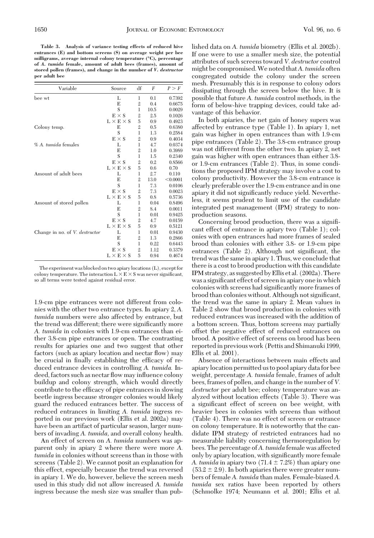**Table 3. Analysis of variance testing effects of reduced hive entrances (E) and bottom screens (S) on average weight per bee milligrams, average internal colony temperature (°C), percentage of** *A. tumida* **female, amount of adult bees (frames), amount of stored pollen (frames), and change in the number of** *V. destructor* **per adult bee**

| Variable                              | Source                | df             | F    | P > F    |
|---------------------------------------|-----------------------|----------------|------|----------|
| bee wt                                | L                     | 1              | 0.1  | 0.7392   |
|                                       | E                     | $\overline{2}$ | 0.4  | 0.6675   |
|                                       | S                     | 1              | 10.5 | 0.0029   |
|                                       | $E \times S$          | $\mathbf{2}$   | 2.5  | 0.1026   |
|                                       | $L \times E \times S$ | 5              | 0.9  | 0.4923   |
| Colony temp.                          | E                     | $\mathbf{2}$   | 0.5  | 0.6380   |
|                                       | S                     | 1              | 1.3  | 0.2584   |
|                                       | $E \times S$          | $\mathfrak{2}$ | 0.9  | 0.4034   |
| % A. tumida females                   | L                     | 1              | 4.7  | 0.0374   |
|                                       | E                     | $\overline{2}$ | 1.0  | 0.3989   |
|                                       | S                     | 1              | 1.5  | 0.2340   |
|                                       | $E \times S$          | $\mathbf{2}$   | 0.2  | 0.8566   |
|                                       | $L \times E \times S$ | 5              | 0.6  | 0.70     |
| Amount of adult bees                  | L                     | 1              | 2.7  | 0.110    |
|                                       | E                     | $\overline{2}$ | 13.0 | < 0.0001 |
|                                       | S                     | 1              | 7.3  | 0.0106   |
|                                       | $E \times S$          | $\mathfrak{2}$ | 7.3  | 0.0023   |
|                                       | $L \times E \times S$ | 5              | 0.8  | 0.5736   |
| Amount of stored pollen               | L                     | 1              | 0.04 | 0.8496   |
|                                       | E                     | $\overline{2}$ | 8.4  | 0.0011   |
|                                       | S                     | 1              | 0.01 | 0.9425   |
|                                       | $E \times S$          | $\overline{2}$ | 4.7  | 0.0159   |
|                                       | $L \times E \times S$ | 5              | 0.9  | 0.5121   |
| Change in no. of <i>V. destructor</i> | L                     | 1              | 0.01 | 0.9430   |
|                                       | E                     | $\mathfrak{2}$ | 1.3  | 0.2866   |
|                                       | S                     | 1              | 0.22 | 0.6443   |
|                                       | $E \times S$          | $\mathfrak{2}$ | 1.12 | 0.3379   |
|                                       | $L \times E \times S$ | 5              | 0.94 | 0.4674   |
|                                       |                       |                |      |          |

The experiment was blocked on two apiarylocations (L), except for colony temperature. The interaction  $L \times E \times S$  was never significant, so all terms were tested against residual error.

1.9-cm pipe entrances were not different from colonies with the other two entrance types. In apiary 2, *A. tumida* numbers were also affected by entrance, but the trend was different; there were significantly more *A. tumida* in colonies with 1.9-cm entrances than either 3.8-cm pipe entrances or open. The contrasting results for apiaries one and two suggest that other factors (such as apiary location and nectar flow) may be crucial in finally establishing the efficacy of reduced entrance devices in controlling *A. tumida.* Indeed, factors such as nectar ßow may inßuence colony buildup and colony strength, which would directly contribute to the efficacy of pipe entrances in slowing beetle ingress because stronger colonies would likely guard the reduced entrances better. The success of reduced entrances in limiting *A. tumida* ingress reported in our previous work (Ellis et al. 2002a) may have been an artifact of particular season, larger numbers of invading *A. tumida,* and overall colony health.

An effect of screen on *A. tumida* numbers was apparent only in apiary 2 where there were more *A. tumida* in colonies without screens than in those with screens (Table 2). We cannot posit an explanation for this effect, especially because the trend was reversed in apiary 1. We do, however, believe the screen mesh used in this study did not allow increased *A. tumida* ingress because the mesh size was smaller than published data on *A. tumida* biometry (Ellis et al. 2002b). If one were to use a smaller mesh size, the potential attributes of such screens toward *V. destructor* control might be compromised.We noted that*A. tumida* often congregated outside the colony under the screen mesh. Presumably this is in response to colony odors dissipating through the screen below the hive. It is possible that future *A. tumida* control methods, in the form of below-hive trapping devices, could take advantage of this behavior.

In both apiaries, the net gain of honey supers was affected by entrance type (Table 1). In apiary 1, net gain was higher in open entrances than with 1.9-cm pipe entrances (Table 2). The 3.8-cm entrance group was not different from the other two. In apiary 2, net gain was higher with open entrances than either 3.8 or 1.9-cm entrances (Table 2). Thus, in some conditions the proposed IPM strategy may involve a cost to colony productivity. However the 3.8-cm entrance is clearly preferable over the 1.9-cm entrance and in one apiary it did not significantly reduce yield. Nevertheless, it seems prudent to limit use of the candidate integrated pest management (IPM) strategy to nonproduction seasons.

Concerning brood production, there was a signiÞcant effect of entrance in apiary two (Table 1); colonies with open entrances had more frames of sealed brood than colonies with either 3.8- or 1.9-cm pipe entrances (Table 2). Although not significant, the trend was the same in apiary 1. Thus, we conclude that there is a cost to brood production with this candidate IPM strategy, as suggested by Ellis et al. (2002a). There was a significant effect of screen in apiary one in which colonies with screens had significantly more frames of brood than colonies without. Although not significant, the trend was the same in apiary 2. Mean values in Table 2 show that brood production in colonies with reduced entrances was increased with the addition of a bottom screen. Thus, bottom screens may partially offset the negative effect of reduced entrances on brood. A positive effect of screens on brood has been reported in previous work (Pettis and Shimanuki 1999, Ellis et al. 2001).

Absence of interactions between main effects and apiary location permitted us to pool apiary data for bee weight, percentage *A. tumida* female, frames of adult bees, frames of pollen, and change in the number of *V. destructor* per adult bee; colony temperature was analyzed without location effects (Table 3). There was a significant effect of screen on bee weight, with heavier bees in colonies with screens than without (Table 4). There was no effect of screen or entrance on colony temperature. It is noteworthy that the candidate IPM strategy of restricted entrances had no measurable liability concerning thermoregulation by bees. The percentage of*A. tumida* female was affected only by apiary location, with significantly more female *A. tumida* in apiary two  $(71.4 \pm 7.2%)$  than apiary one  $(53.2 \pm 2.9)$ . In both apiaries there were greater numbers of female *A. tumida* than males. Female-biased *A. tumida* sex ratios have been reported by others (Schmolke 1974; Neumann et al. 2001; Ellis et al.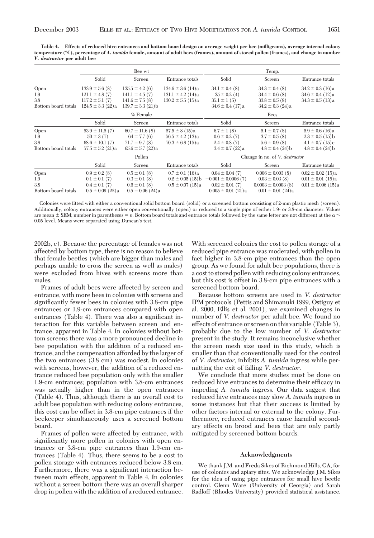**Table 4. Effects of reduced hive entrances and bottom board design on average weight per bee (milligrams), average internal colony temperature (°C), percentage of** *A. tumida* **female, amount of adult bees (frames), amount of stored pollen (frames), and change in number** *V. destructor* **per adult bee**

|                                           |                                                                                           | Bee wt                                                                                  |                                                                         |                                                                                                  | Temp.                                                                                             |                                                                                          |
|-------------------------------------------|-------------------------------------------------------------------------------------------|-----------------------------------------------------------------------------------------|-------------------------------------------------------------------------|--------------------------------------------------------------------------------------------------|---------------------------------------------------------------------------------------------------|------------------------------------------------------------------------------------------|
|                                           | Solid                                                                                     | Screen                                                                                  | Entrance totals                                                         | Solid                                                                                            | Screen                                                                                            | Entrance totals                                                                          |
| Open<br>1.9<br>3.8<br>Bottom board totals | $133.9 \pm 5.6$ (8)<br>$121.1 \pm 4.8$ (7)<br>$117.2 \pm 5.1(7)$<br>$124.5 \pm 3.3$ (22)a | $135.5 \pm 4.2(6)$<br>$141.1 \pm 4.5(7)$<br>$141.6 \pm 7.5(8)$<br>$139.7 \pm 3.3$ (21)b | $134.6 \pm 3.6$ (14)a<br>$131.1 \pm 4.2$ (14)a<br>$130.2 \pm 5.5$ (15)a | $34.1 \pm 0.4$ (8)<br>$35 \pm 0.2$ (4)<br>$35.1 \pm 1(5)$<br>$34.6 \pm 0.4$ (17)a                | $34.3 \pm 0.4$ (8)<br>$34.4 \pm 0.6$ (8)<br>$33.8 \pm 0.5$ (8)<br>$34.2 \pm 0.3$ (24)a            | $34.2 \pm 0.3$ (16)a<br>$34.6 \pm 0.4$ (12)a<br>$34.3 \pm 0.5$ (13)a                     |
|                                           |                                                                                           | % Female                                                                                |                                                                         |                                                                                                  | <b>Bees</b>                                                                                       |                                                                                          |
|                                           | Solid                                                                                     | Screen                                                                                  | Entrance totals                                                         | Solid                                                                                            | Screen                                                                                            | Entrance totals                                                                          |
| Open<br>1.9<br>3.8<br>Bottom board totals | $53.9 \pm 11.5(7)$<br>$50 \pm 3(7)$<br>$68.6 \pm 10.1$ (7)<br>$57.5 \pm 5.2$ (21)a        | $60.7 \pm 11.6$ (8)<br>$64 \pm 7.7(6)$<br>$71.7 \pm 9.7$ (8)<br>$65.6 \pm 5.7$ (22)a    | $57.5 \pm 8(15)a$<br>$56.5 \pm 4.2$ (13)a<br>$70.3 \pm 6.8$ (15)a       | $6.7 \pm 1(8)$<br>$0.6 \pm 0.2$ (7)<br>$2.4 \pm 0.8$ (7)<br>$3.4 \pm 0.7$ (22)a                  | $5.1 \pm 0.7$ (8)<br>$3.7 \pm 0.5$ (8)<br>$5.6 \pm 0.9$ (8)<br>$4.8 \pm 0.4$ (24)b                | $5.9 \pm 0.6$ (16)a<br>$2.3 \pm 0.5$ (15)b<br>$4.1 \pm 0.7$ (15)c<br>$4.8 \pm 0.4$ (24)b |
|                                           |                                                                                           | Pollen                                                                                  |                                                                         | Change in no. of V. destructor                                                                   |                                                                                                   |                                                                                          |
|                                           | Solid                                                                                     | Screen                                                                                  | Entrance totals                                                         | Solid                                                                                            | Screen                                                                                            | Entrance totals                                                                          |
| Open<br>1.9<br>3.8<br>Bottom board totals | $0.9 \pm 0.2$ (8)<br>$0.1 \pm 0.1$ (7)<br>$0.4 \pm 0.1$ (7)<br>$0.5 \pm 0.09$ (22)a       | $0.5 \pm 0.1$ (8)<br>$0.3 \pm 0.1$ (8)<br>$0.6 \pm 0.1$ (8)<br>$0.5 \pm 0.06$ (24)a     | $0.7 \pm 0.1$ (16)a<br>$0.2 \pm 0.05$ (15)b<br>$0.5 \pm 0.07$ (15)a     | $0.04 \pm 0.04$ (7)<br>$-0.001 \pm 0.0006$ (7)<br>$-0.02 \pm 0.01$ (7)<br>$0.005 \pm 0.01$ (21)a | $0.006 \pm 0.003$ (8)<br>$0.03 \pm 0.03$ (8)<br>$-0.0003 \pm 0.0003$ (8)<br>$0.01 \pm 0.01$ (24)a | $0.02 \pm 0.02$ (15)a<br>$0.01 \pm 0.01$ (15)a<br>$-0.01 \pm 0.006$ (15)a                |

Colonies were fitted with either a conventional solid bottom board (solid) or a screened bottom consisting of 2-mm plastic mesh (screen). Additionally, colony entrances were either open conventionally (open) or reduced to a single pipe of either 1.9- or 3.8-cm diameter. Values are mean  $\pm$  SEM; number in parentheses =  $n$ . Bottom board totals and entrance totals followed by the same letter are not different at the  $\alpha$   $\le$ 0.05 level. Means were separated using Duncan's test.

2002b, c). Because the percentage of females was not affected by bottom type, there is no reason to believe that female beetles (which are bigger than males and perhaps unable to cross the screen as well as males) were excluded from hives with screens more than males.

Frames of adult bees were affected by screen and entrance, with more bees in colonies with screens and significantly fewer bees in colonies with 3.8-cm pipe entrances or 1.9-cm entrances compared with open entrances (Table 4). There was also a significant interaction for this variable between screen and entrance, apparent in Table 4. In colonies without bottom screens there was a more pronounced decline in bee population with the addition of a reduced entrance, and the compensation afforded by the larger of the two entrances (3.8 cm) was modest. In colonies with screens, however, the addition of a reduced entrance reduced bee population only with the smaller 1.9-cm entrances; population with 3.8-cm entrances was actually higher than in the open entrances (Table 4). Thus, although there is an overall cost to adult bee population with reducing colony entrances, this cost can be offset in 3.8-cm pipe entrances if the beekeeper simultaneously uses a screened bottom board.

Frames of pollen were affected by entrance, with significantly more pollen in colonies with open entrances or 3.8-cm pipe entrances than 1.9-cm entrances (Table 4). Thus, there seems to be a cost to pollen storage with entrances reduced below 3.8 cm. Furthermore, there was a significant interaction between main effects, apparent in Table 4. In colonies without a screen bottom there was an overall sharper drop in pollen with the addition of a reduced entrance.

With screened colonies the cost to pollen storage of a reduced pipe entrance was moderated, with pollen in fact higher in 3.8-cm pipe entrances than the open group. As we found for adult bee populations, there is a cost to stored pollen with reducing colony entrances, but this cost is offset in 3.8-cm pipe entrances with a screened bottom board.

Because bottom screens are used in *V. destructor* IPM protocols (Pettis and Shimanuki 1999, Ostiguy et al. 2000, Ellis et al. 2001), we examined changes in number of *V. destructor* per adult bee. We found no effects of entrance or screen on this variable (Table 3), probably due to the low number of *V. destructor* present in the study. It remains inconclusive whether the screen mesh size used in this study, which is smaller than that conventionally used for the control of *V. destructor,* inhibits *A. tumida* ingress while permitting the exit of falling *V. destructor.*

We conclude that more studies must be done on reduced hive entrances to determine their efficacy in impeding *A. tumida* ingress. Our data suggest that reduced hive entrances may slow *A. tumida* ingress in some instances but that their success is limited by other factors internal or external to the colony. Furthermore, reduced entrances cause harmful secondary effects on brood and bees that are only partly mitigated by screened bottom boards.

## **Acknowledgments**

We thank J.M. and Freda Sikes of Richmond Hills, GA, for use of colonies and apiary sites. We acknowledge J.M. Sikes for the idea of using pipe entrances for small hive beetle control. Glenn Ware (University of Georgia) and Sarah Radloff (Rhodes University) provided statistical assistance.